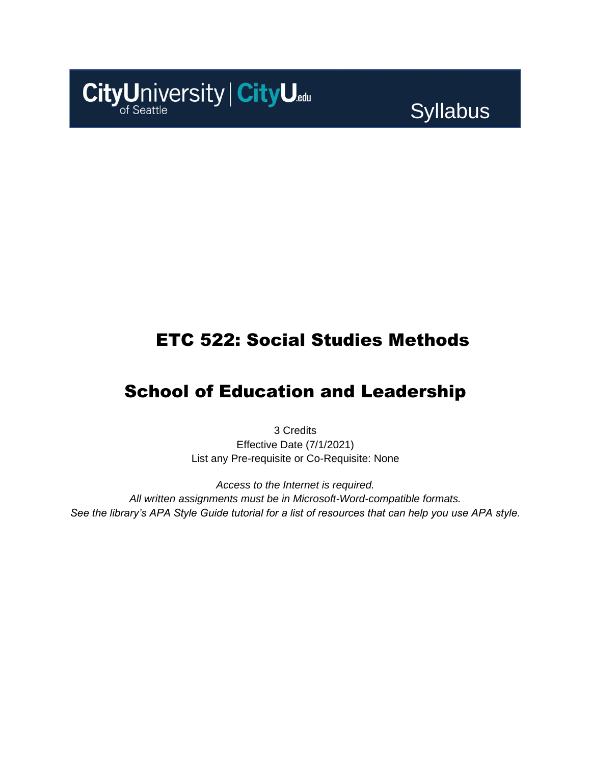

**Syllabus** 

# ETC 522: Social Studies Methods

## School of Education and Leadership

3 Credits Effective Date (7/1/2021) List any Pre-requisite or Co-Requisite: None

*Access to the Internet is required. All written assignments must be in Microsoft-Word-compatible formats. See the library's APA Style Guide tutorial for a list of resources that can help you use APA style.*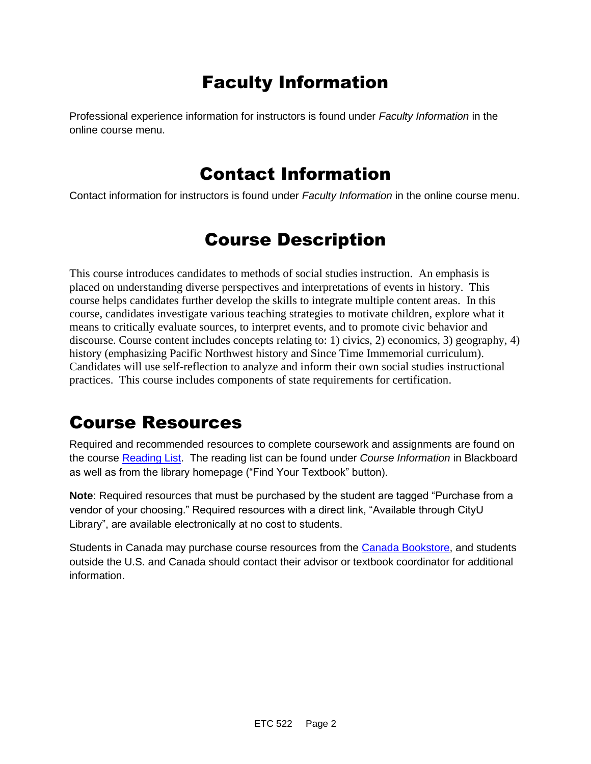# Faculty Information

Professional experience information for instructors is found under *Faculty Information* in the online course menu.

## Contact Information

Contact information for instructors is found under *Faculty Information* in the online course menu.

# Course Description

This course introduces candidates to methods of social studies instruction. An emphasis is placed on understanding diverse perspectives and interpretations of events in history. This course helps candidates further develop the skills to integrate multiple content areas. In this course, candidates investigate various teaching strategies to motivate children, explore what it means to critically evaluate sources, to interpret events, and to promote civic behavior and discourse. Course content includes concepts relating to: 1) civics, 2) economics, 3) geography, 4) history (emphasizing Pacific Northwest history and Since Time Immemorial curriculum). Candidates will use self-reflection to analyze and inform their own social studies instructional practices. This course includes components of state requirements for certification.

## Course Resources

Required and recommended resources to complete coursework and assignments are found on the course [Reading List.](https://cityu.alma.exlibrisgroup.com/leganto/login?auth=SAML) The reading list can be found under *Course Information* in Blackboard as well as from the library homepage ("Find Your Textbook" button).

**Note**: Required resources that must be purchased by the student are tagged "Purchase from a vendor of your choosing." Required resources with a direct link, "Available through CityU Library", are available electronically at no cost to students.

Students in Canada may purchase course resources from the [Canada Bookstore,](https://www.cityubookstore.ca/index.asp) and students outside the U.S. and Canada should contact their advisor or textbook coordinator for additional information.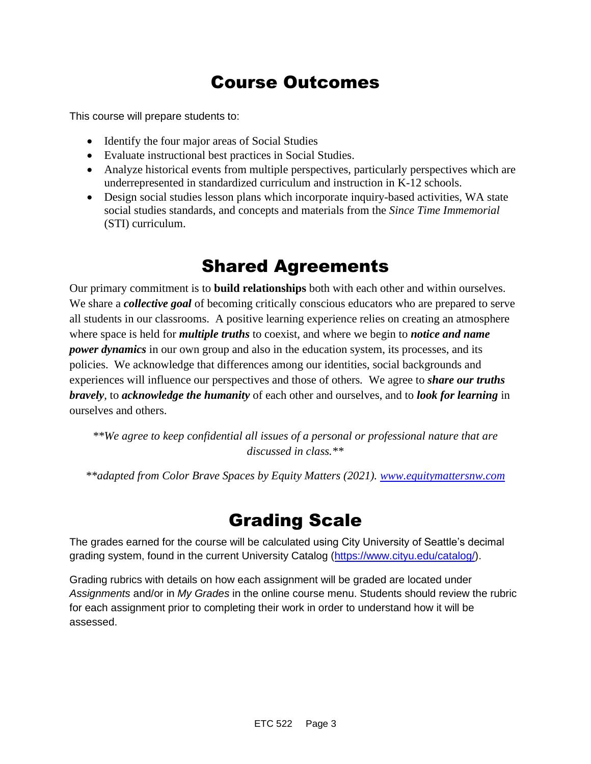# Course Outcomes

This course will prepare students to:

- Identify the four major areas of Social Studies
- Evaluate instructional best practices in Social Studies.
- Analyze historical events from multiple perspectives, particularly perspectives which are underrepresented in standardized curriculum and instruction in K-12 schools.
- Design social studies lesson plans which incorporate inquiry-based activities, WA state social studies standards, and concepts and materials from the *Since Time Immemorial* (STI) curriculum.

## Shared Agreements

Our primary commitment is to **build relationships** both with each other and within ourselves. We share a *collective goal* of becoming critically conscious educators who are prepared to serve all students in our classrooms. A positive learning experience relies on creating an atmosphere where space is held for *multiple truths* to coexist, and where we begin to *notice and name power dynamics* in our own group and also in the education system, its processes, and its policies. We acknowledge that differences among our identities, social backgrounds and experiences will influence our perspectives and those of others*.* We agree to *share our truths bravely*, to *acknowledge the humanity* of each other and ourselves, and to *look for learning* in ourselves and others.

*\*\*We agree to keep confidential all issues of a personal or professional nature that are discussed in class.\*\**

*\*\*adapted from Color Brave Spaces by Equity Matters (2021). [www.equitymattersnw.com](http://www.equitymattersnw.com/)*

## Grading Scale

The grades earned for the course will be calculated using City University of Seattle's decimal grading system, found in the current University Catalog [\(https://www.cityu.edu/catalog/\)](https://www.cityu.edu/catalog/).

Grading rubrics with details on how each assignment will be graded are located under *Assignments* and/or in *My Grades* in the online course menu. Students should review the rubric for each assignment prior to completing their work in order to understand how it will be assessed.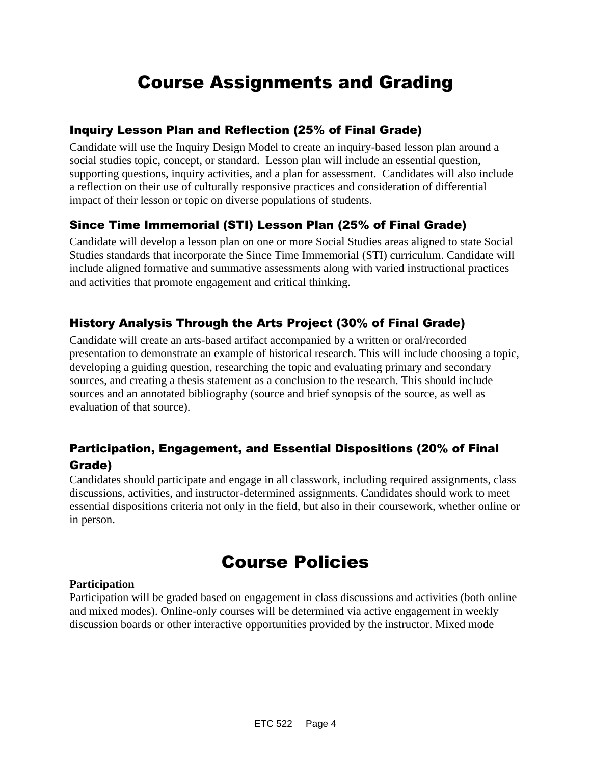# Course Assignments and Grading

### Inquiry Lesson Plan and Reflection (25% of Final Grade)

Candidate will use the Inquiry Design Model to create an inquiry-based lesson plan around a social studies topic, concept, or standard. Lesson plan will include an essential question, supporting questions, inquiry activities, and a plan for assessment. Candidates will also include a reflection on their use of culturally responsive practices and consideration of differential impact of their lesson or topic on diverse populations of students.

### Since Time Immemorial (STI) Lesson Plan (25% of Final Grade)

Candidate will develop a lesson plan on one or more Social Studies areas aligned to state Social Studies standards that incorporate the Since Time Immemorial (STI) curriculum. Candidate will include aligned formative and summative assessments along with varied instructional practices and activities that promote engagement and critical thinking.

### History Analysis Through the Arts Project (30% of Final Grade)

Candidate will create an arts-based artifact accompanied by a written or oral/recorded presentation to demonstrate an example of historical research. This will include choosing a topic, developing a guiding question, researching the topic and evaluating primary and secondary sources, and creating a thesis statement as a conclusion to the research. This should include sources and an annotated bibliography (source and brief synopsis of the source, as well as evaluation of that source).

### Participation, Engagement, and Essential Dispositions (20% of Final Grade)

Candidates should participate and engage in all classwork, including required assignments, class discussions, activities, and instructor-determined assignments. Candidates should work to meet essential dispositions criteria not only in the field, but also in their coursework, whether online or in person.

## Course Policies

#### **Participation**

Participation will be graded based on engagement in class discussions and activities (both online and mixed modes). Online-only courses will be determined via active engagement in weekly discussion boards or other interactive opportunities provided by the instructor. Mixed mode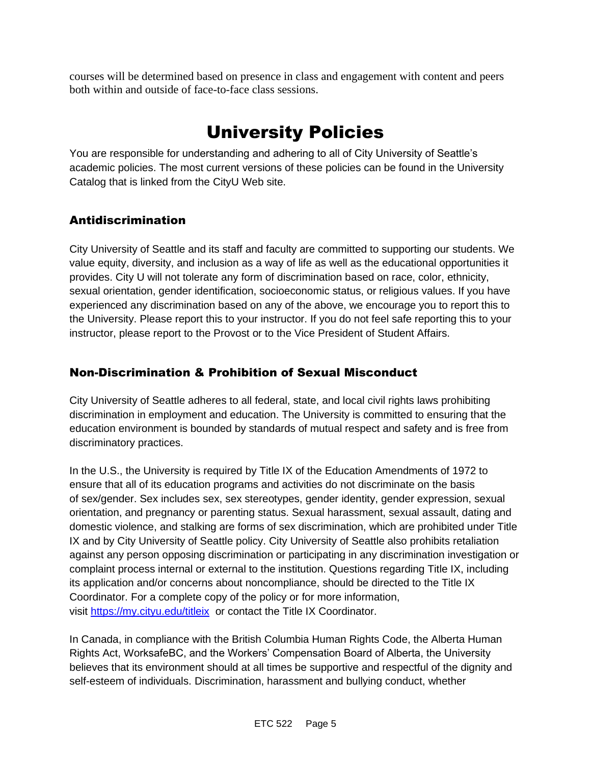courses will be determined based on presence in class and engagement with content and peers both within and outside of face-to-face class sessions.

# University Policies

You are responsible for understanding and adhering to all of City University of Seattle's academic policies. The most current versions of these policies can be found in the University Catalog that is linked from the CityU Web site.

### Antidiscrimination

City University of Seattle and its staff and faculty are committed to supporting our students. We value equity, diversity, and inclusion as a way of life as well as the educational opportunities it provides. City U will not tolerate any form of discrimination based on race, color, ethnicity, sexual orientation, gender identification, socioeconomic status, or religious values. If you have experienced any discrimination based on any of the above, we encourage you to report this to the University. Please report this to your instructor. If you do not feel safe reporting this to your instructor, please report to the Provost or to the Vice President of Student Affairs.

### Non-Discrimination & Prohibition of Sexual Misconduct

City University of Seattle adheres to all federal, state, and local civil rights laws prohibiting discrimination in employment and education. The University is committed to ensuring that the education environment is bounded by standards of mutual respect and safety and is free from discriminatory practices.

In the U.S., the University is required by Title IX of the Education Amendments of 1972 to ensure that all of its education programs and activities do not discriminate on the basis of sex/gender. Sex includes sex, sex stereotypes, gender identity, gender expression, sexual orientation, and pregnancy or parenting status. Sexual harassment, sexual assault, dating and domestic violence, and stalking are forms of sex discrimination, which are prohibited under Title IX and by City University of Seattle policy. City University of Seattle also prohibits retaliation against any person opposing discrimination or participating in any discrimination investigation or complaint process internal or external to the institution. Questions regarding Title IX, including its application and/or concerns about noncompliance, should be directed to the Title IX Coordinator. For a complete copy of the policy or for more information, visit [https://my.cityu.edu/titleix](https://nam11.safelinks.protection.outlook.com/?url=https%3A%2F%2Fmy.cityu.edu%2Ftitleix&data=04%7C01%7Claker%40cityu.edu%7Cbc558c70c10340dbaa2408d9172365a0%7Cb3fa96d9f5154662add763d854e39e63%7C1%7C0%7C637566263054321964%7CUnknown%7CTWFpbGZsb3d8eyJWIjoiMC4wLjAwMDAiLCJQIjoiV2luMzIiLCJBTiI6Ik1haWwiLCJXVCI6Mn0%3D%7C1000&sdata=GX0hgfxN2OMKFTKjD04gqvwwyU44mfnCmEdCtsEzab0%3D&reserved=0) or contact the Title IX Coordinator.

In Canada, in compliance with the British Columbia Human Rights Code, the Alberta Human Rights Act, WorksafeBC, and the Workers' Compensation Board of Alberta, the University believes that its environment should at all times be supportive and respectful of the dignity and self-esteem of individuals. Discrimination, harassment and bullying conduct, whether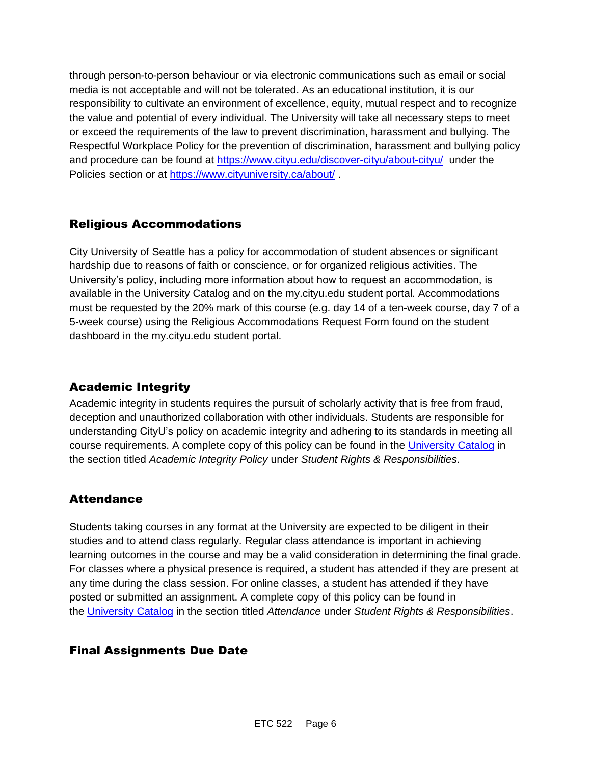through person-to-person behaviour or via electronic communications such as email or social media is not acceptable and will not be tolerated. As an educational institution, it is our responsibility to cultivate an environment of excellence, equity, mutual respect and to recognize the value and potential of every individual. The University will take all necessary steps to meet or exceed the requirements of the law to prevent discrimination, harassment and bullying. The Respectful Workplace Policy for the prevention of discrimination, harassment and bullying policy and procedure can be found at [https://www.cityu.edu/discover-cityu/about-cityu/](https://nam11.safelinks.protection.outlook.com/?url=https%3A%2F%2Fwww.cityu.edu%2Fdiscover-cityu%2Fabout-cityu%2F&data=04%7C01%7Claker%40cityu.edu%7Cbc558c70c10340dbaa2408d9172365a0%7Cb3fa96d9f5154662add763d854e39e63%7C1%7C0%7C637566263054331957%7CUnknown%7CTWFpbGZsb3d8eyJWIjoiMC4wLjAwMDAiLCJQIjoiV2luMzIiLCJBTiI6Ik1haWwiLCJXVCI6Mn0%3D%7C1000&sdata=7Q6QoqwuNLfeOJPewViWSeIwRIBy%2BoqDOiP8xSHYm78%3D&reserved=0) under the Policies section or at [https://www.cityuniversity.ca/about/](https://nam11.safelinks.protection.outlook.com/?url=https%3A%2F%2Fwww.cityuniversity.ca%2Fabout%2F&data=04%7C01%7Claker%40cityu.edu%7Cbc558c70c10340dbaa2408d9172365a0%7Cb3fa96d9f5154662add763d854e39e63%7C1%7C0%7C637566263054331957%7CUnknown%7CTWFpbGZsb3d8eyJWIjoiMC4wLjAwMDAiLCJQIjoiV2luMzIiLCJBTiI6Ik1haWwiLCJXVCI6Mn0%3D%7C1000&sdata=TX6bXEiU0CC6hC1mrTnKpuJywbR06qAj7RMu8QC4RUA%3D&reserved=0) .

### Religious Accommodations

City University of Seattle has a policy for accommodation of student absences or significant hardship due to reasons of faith or conscience, or for organized religious activities. The University's policy, including more information about how to request an accommodation, is available in the University Catalog and on the my.cityu.edu student portal. Accommodations must be requested by the 20% mark of this course (e.g. day 14 of a ten-week course, day 7 of a 5-week course) using the Religious Accommodations Request Form found on the student dashboard in the my.cityu.edu student portal.

### Academic Integrity

Academic integrity in students requires the pursuit of scholarly activity that is free from fraud, deception and unauthorized collaboration with other individuals. Students are responsible for understanding CityU's policy on academic integrity and adhering to its standards in meeting all course requirements. A complete copy of this policy can be found in the [University Catalog](https://nam11.safelinks.protection.outlook.com/?url=http%3A%2F%2Fwww.cityu.edu%2Fcatalog%2F&data=04%7C01%7Claker%40cityu.edu%7Cbc558c70c10340dbaa2408d9172365a0%7Cb3fa96d9f5154662add763d854e39e63%7C1%7C0%7C637566263054341952%7CUnknown%7CTWFpbGZsb3d8eyJWIjoiMC4wLjAwMDAiLCJQIjoiV2luMzIiLCJBTiI6Ik1haWwiLCJXVCI6Mn0%3D%7C1000&sdata=aL6fsSyLtVzJgdrlE9PtZXb%2F3H6wCdrvPcw4zOoEYTI%3D&reserved=0) in the section titled *Academic Integrity Policy* under *Student Rights & Responsibilities*.

### **Attendance**

Students taking courses in any format at the University are expected to be diligent in their studies and to attend class regularly. Regular class attendance is important in achieving learning outcomes in the course and may be a valid consideration in determining the final grade. For classes where a physical presence is required, a student has attended if they are present at any time during the class session. For online classes, a student has attended if they have posted or submitted an assignment. A complete copy of this policy can be found in the [University Catalog](https://nam11.safelinks.protection.outlook.com/?url=http%3A%2F%2Fwww.cityu.edu%2Fcatalog%2F&data=04%7C01%7Claker%40cityu.edu%7Cbc558c70c10340dbaa2408d9172365a0%7Cb3fa96d9f5154662add763d854e39e63%7C1%7C0%7C637566263054341952%7CUnknown%7CTWFpbGZsb3d8eyJWIjoiMC4wLjAwMDAiLCJQIjoiV2luMzIiLCJBTiI6Ik1haWwiLCJXVCI6Mn0%3D%7C1000&sdata=aL6fsSyLtVzJgdrlE9PtZXb%2F3H6wCdrvPcw4zOoEYTI%3D&reserved=0) in the section titled *Attendance* under *Student Rights & Responsibilities*.

### Final Assignments Due Date